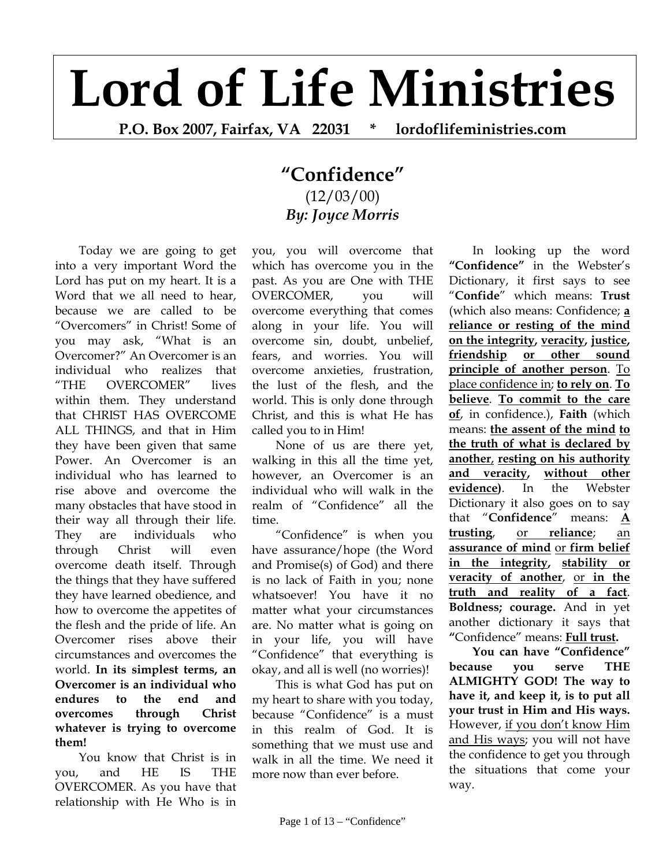## **Lord of Life Ministries**

**P.O. Box 2007, Fairfax, VA 22031 \* lordoflifeministries.com** 

## **"Confidence"** (12/03/00) *By: Joyce Morris*

Today we are going to get into a very important Word the Lord has put on my heart. It is a Word that we all need to hear, because we are called to be "Overcomers" in Christ! Some of you may ask, "What is an Overcomer?" An Overcomer is an individual who realizes that "THE OVERCOMER" lives within them. They understand that CHRIST HAS OVERCOME ALL THINGS, and that in Him they have been given that same Power. An Overcomer is an individual who has learned to rise above and overcome the many obstacles that have stood in their way all through their life. They are individuals who through Christ will even overcome death itself. Through the things that they have suffered they have learned obedience, and how to overcome the appetites of the flesh and the pride of life. An Overcomer rises above their circumstances and overcomes the world. **In its simplest terms, an Overcomer is an individual who endures to the end and overcomes through Christ whatever is trying to overcome them!**

You know that Christ is in you, and HE IS THE OVERCOMER. As you have that relationship with He Who is in

you, you will overcome that which has overcome you in the past. As you are One with THE OVERCOMER, you will overcome everything that comes along in your life. You will overcome sin, doubt, unbelief, fears, and worries. You will overcome anxieties, frustration, the lust of the flesh, and the world. This is only done through Christ, and this is what He has called you to in Him!

None of us are there yet, walking in this all the time yet, however, an Overcomer is an individual who will walk in the realm of "Confidence" all the time.

"Confidence" is when you have assurance/hope (the Word and Promise(s) of God) and there is no lack of Faith in you; none whatsoever! You have it no matter what your circumstances are. No matter what is going on in your life, you will have "Confidence" that everything is okay, and all is well (no worries)!

This is what God has put on my heart to share with you today, because "Confidence" is a must in this realm of God. It is something that we must use and walk in all the time. We need it more now than ever before.

In looking up the word **"Confidence"** in the Webster's Dictionary, it first says to see "**Confide**" which means: **Trust** (which also means: Confidence; **a reliance or resting of the mind on the integrity, veracity, justice, friendship or other sound principle of another person**. To place confidence in; **to rely on**. **To believe**. **To commit to the care of**, in confidence.), **Faith** (which means: **the assent of the mind to the truth of what is declared by another**, **resting on his authority and veracity, without other evidence)**. In the Webster Dictionary it also goes on to say that "**Confidence**" means: **A trusting**, or **reliance**; an **assurance of mind** or **firm belief in the integrity, stability or veracity of another**, or **in the truth and reality of a fact**. **Boldness; courage.** And in yet another dictionary it says that **"**Confidence" means: **Full trust.** 

**You can have "Confidence" because you serve THE ALMIGHTY GOD! The way to have it, and keep it, is to put all your trust in Him and His ways.** However, if you don't know Him and His ways; you will not have the confidence to get you through the situations that come your way.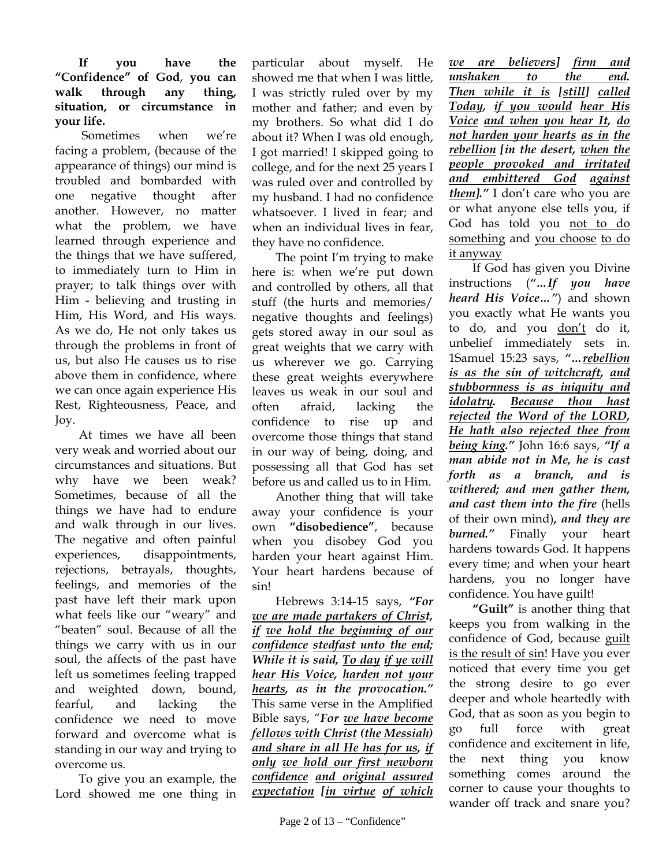## **If you have the "Confidence" of God**, **you can walk through any thing, situation, or circumstance in your life.**

 Sometimes when we're facing a problem, (because of the appearance of things) our mind is troubled and bombarded with one negative thought after another. However, no matter what the problem, we have learned through experience and the things that we have suffered, to immediately turn to Him in prayer; to talk things over with Him - believing and trusting in Him, His Word, and His ways. As we do, He not only takes us through the problems in front of us, but also He causes us to rise above them in confidence, where we can once again experience His Rest, Righteousness, Peace, and Joy.

At times we have all been very weak and worried about our circumstances and situations. But why have we been weak? Sometimes, because of all the things we have had to endure and walk through in our lives. The negative and often painful experiences, disappointments, rejections, betrayals, thoughts, feelings, and memories of the past have left their mark upon what feels like our "weary" and "beaten" soul. Because of all the things we carry with us in our soul, the affects of the past have left us sometimes feeling trapped and weighted down, bound, fearful, and lacking the confidence we need to move forward and overcome what is standing in our way and trying to overcome us.

To give you an example, the Lord showed me one thing in particular about myself. He showed me that when I was little, I was strictly ruled over by my mother and father; and even by my brothers. So what did I do about it? When I was old enough, I got married! I skipped going to college, and for the next 25 years I was ruled over and controlled by my husband. I had no confidence whatsoever. I lived in fear; and when an individual lives in fear, they have no confidence.

The point I'm trying to make here is: when we're put down and controlled by others, all that stuff (the hurts and memories/ negative thoughts and feelings) gets stored away in our soul as great weights that we carry with us wherever we go. Carrying these great weights everywhere leaves us weak in our soul and often afraid, lacking the confidence to rise up and overcome those things that stand in our way of being, doing, and possessing all that God has set before us and called us to in Him.

Another thing that will take away your confidence is your own **"disobedience"**, because when you disobey God you harden your heart against Him. Your heart hardens because of sin!

Hebrews 3:14-15 says, *"For we are made partakers of Christ, if we hold the beginning of our confidence stedfast unto the end; While it is said, To day if ye will hear His Voice, harden not your hearts, as in the provocation."* This same verse in the Amplified Bible says, "*For we have become fellows with Christ (the Messiah) and share in all He has for us, if only we hold our first newborn confidence and original assured expectation [in virtue of which* 

*we are believers] firm and unshaken to the end. Then while it is [still] called Today, if you would hear His Voice and when you hear It, do not harden your hearts as in the rebellion [in the desert, when the people provoked and irritated and embittered God against them]."* I don't care who you are or what anyone else tells you, if God has told you not to do something and you choose to do it anyway

If God has given you Divine instructions (*"…If you have heard His Voice…"*) and shown you exactly what He wants you to do, and you don't do it, unbelief immediately sets in. 1Samuel 15:23 says, *"…rebellion is as the sin of witchcraft, and stubbornness is as iniquity and idolatry. Because thou hast rejected the Word of the LORD, He hath also rejected thee from being king."* John 16:6 says, *"If a man abide not in Me, he is cast forth as a branch, and is withered; and men gather them, and cast them into the fire* (hells of their own mind)**,** *and they are burned."* Finally your heart hardens towards God. It happens every time; and when your heart hardens, you no longer have confidence. You have guilt!

**"Guilt"** is another thing that keeps you from walking in the confidence of God, because guilt is the result of sin! Have you ever noticed that every time you get the strong desire to go ever deeper and whole heartedly with God, that as soon as you begin to go full force with great confidence and excitement in life, the next thing you know something comes around the corner to cause your thoughts to wander off track and snare you?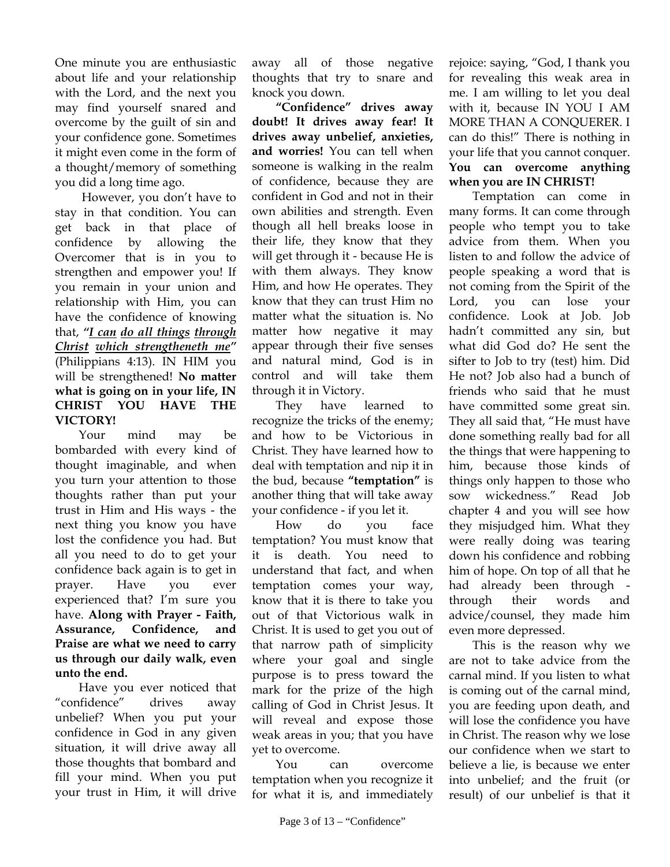One minute you are enthusiastic about life and your relationship with the Lord, and the next you may find yourself snared and overcome by the guilt of sin and your confidence gone. Sometimes it might even come in the form of a thought/memory of something you did a long time ago.

 However, you don't have to stay in that condition. You can get back in that place of confidence by allowing the Overcomer that is in you to strengthen and empower you! If you remain in your union and relationship with Him, you can have the confidence of knowing that, *"I can do all things through Christ which strengtheneth me"* (Philippians 4:13). IN HIM you will be strengthened! **No matter what is going on in your life, IN CHRIST YOU HAVE THE VICTORY!** 

Your mind may be bombarded with every kind of thought imaginable, and when you turn your attention to those thoughts rather than put your trust in Him and His ways - the next thing you know you have lost the confidence you had. But all you need to do to get your confidence back again is to get in prayer. Have you ever experienced that? I'm sure you have. **Along with Prayer - Faith, Assurance, Confidence, and Praise are what we need to carry us through our daily walk, even unto the end.**

Have you ever noticed that "confidence" drives away unbelief? When you put your confidence in God in any given situation, it will drive away all those thoughts that bombard and fill your mind. When you put your trust in Him, it will drive

away all of those negative thoughts that try to snare and knock you down.

**"Confidence" drives away doubt! It drives away fear! It drives away unbelief, anxieties, and worries!** You can tell when someone is walking in the realm of confidence, because they are confident in God and not in their own abilities and strength. Even though all hell breaks loose in their life, they know that they will get through it - because He is with them always. They know Him, and how He operates. They know that they can trust Him no matter what the situation is. No matter how negative it may appear through their five senses and natural mind, God is in control and will take them through it in Victory.

They have learned to recognize the tricks of the enemy; and how to be Victorious in Christ. They have learned how to deal with temptation and nip it in the bud, because **"temptation"** is another thing that will take away your confidence - if you let it.

How do you face temptation? You must know that it is death. You need to understand that fact, and when temptation comes your way, know that it is there to take you out of that Victorious walk in Christ. It is used to get you out of that narrow path of simplicity where your goal and single purpose is to press toward the mark for the prize of the high calling of God in Christ Jesus. It will reveal and expose those weak areas in you; that you have yet to overcome.

You can overcome temptation when you recognize it for what it is, and immediately rejoice: saying, "God, I thank you for revealing this weak area in me. I am willing to let you deal with it, because IN YOU I AM MORE THAN A CONQUERER. I can do this!" There is nothing in your life that you cannot conquer. **You can overcome anything when you are IN CHRIST!**

Temptation can come in many forms. It can come through people who tempt you to take advice from them. When you listen to and follow the advice of people speaking a word that is not coming from the Spirit of the Lord, you can lose your confidence. Look at Job. Job hadn't committed any sin, but what did God do? He sent the sifter to Job to try (test) him. Did He not? Job also had a bunch of friends who said that he must have committed some great sin. They all said that, "He must have done something really bad for all the things that were happening to him, because those kinds of things only happen to those who sow wickedness." Read Job chapter 4 and you will see how they misjudged him. What they were really doing was tearing down his confidence and robbing him of hope. On top of all that he had already been through through their words and advice/counsel, they made him even more depressed.

This is the reason why we are not to take advice from the carnal mind. If you listen to what is coming out of the carnal mind, you are feeding upon death, and will lose the confidence you have in Christ. The reason why we lose our confidence when we start to believe a lie, is because we enter into unbelief; and the fruit (or result) of our unbelief is that it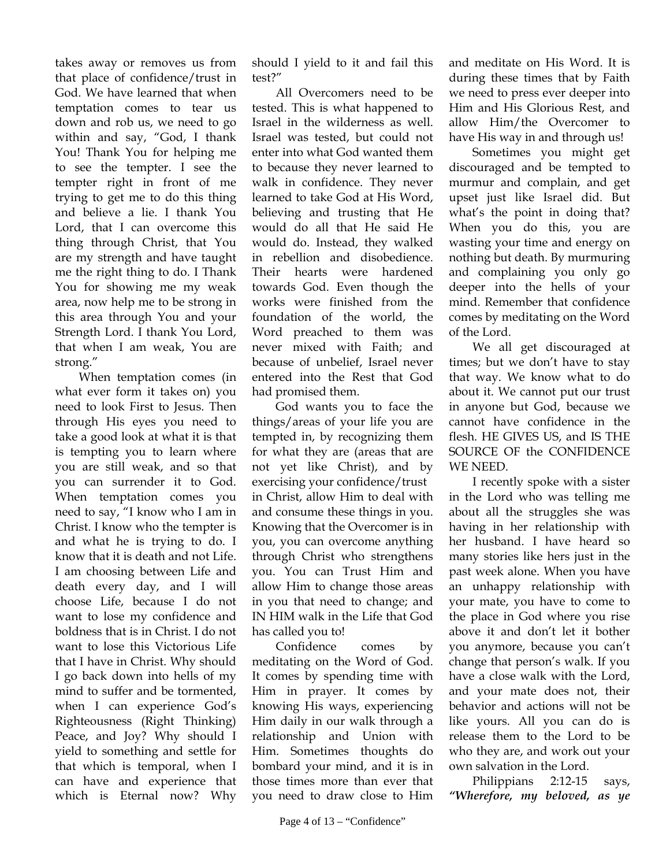takes away or removes us from that place of confidence/trust in God. We have learned that when temptation comes to tear us down and rob us, we need to go within and say, "God, I thank You! Thank You for helping me to see the tempter. I see the tempter right in front of me trying to get me to do this thing and believe a lie. I thank You Lord, that I can overcome this thing through Christ, that You are my strength and have taught me the right thing to do. I Thank You for showing me my weak area, now help me to be strong in this area through You and your Strength Lord. I thank You Lord, that when I am weak, You are strong."

When temptation comes (in what ever form it takes on) you need to look First to Jesus. Then through His eyes you need to take a good look at what it is that is tempting you to learn where you are still weak, and so that you can surrender it to God. When temptation comes you need to say, "I know who I am in Christ. I know who the tempter is and what he is trying to do. I know that it is death and not Life. I am choosing between Life and death every day, and I will choose Life, because I do not want to lose my confidence and boldness that is in Christ. I do not want to lose this Victorious Life that I have in Christ. Why should I go back down into hells of my mind to suffer and be tormented, when I can experience God's Righteousness (Right Thinking) Peace, and Joy? Why should I yield to something and settle for that which is temporal, when I can have and experience that which is Eternal now? Why

should I yield to it and fail this test?"

All Overcomers need to be tested. This is what happened to Israel in the wilderness as well. Israel was tested, but could not enter into what God wanted them to because they never learned to walk in confidence. They never learned to take God at His Word, believing and trusting that He would do all that He said He would do. Instead, they walked in rebellion and disobedience. Their hearts were hardened towards God. Even though the works were finished from the foundation of the world, the Word preached to them was never mixed with Faith; and because of unbelief, Israel never entered into the Rest that God had promised them.

God wants you to face the things/areas of your life you are tempted in, by recognizing them for what they are (areas that are not yet like Christ), and by exercising your confidence/trust in Christ, allow Him to deal with and consume these things in you. Knowing that the Overcomer is in you, you can overcome anything through Christ who strengthens you. You can Trust Him and allow Him to change those areas in you that need to change; and IN HIM walk in the Life that God has called you to!

 Confidence comes by meditating on the Word of God. It comes by spending time with Him in prayer. It comes by knowing His ways, experiencing Him daily in our walk through a relationship and Union with Him. Sometimes thoughts do bombard your mind, and it is in those times more than ever that you need to draw close to Him and meditate on His Word. It is during these times that by Faith we need to press ever deeper into Him and His Glorious Rest, and allow Him/the Overcomer to have His way in and through us!

 Sometimes you might get discouraged and be tempted to murmur and complain, and get upset just like Israel did. But what's the point in doing that? When you do this, you are wasting your time and energy on nothing but death. By murmuring and complaining you only go deeper into the hells of your mind. Remember that confidence comes by meditating on the Word of the Lord.

We all get discouraged at times; but we don't have to stay that way. We know what to do about it. We cannot put our trust in anyone but God, because we cannot have confidence in the flesh. HE GIVES US, and IS THE SOURCE OF the CONFIDENCE WE NEED.

I recently spoke with a sister in the Lord who was telling me about all the struggles she was having in her relationship with her husband. I have heard so many stories like hers just in the past week alone. When you have an unhappy relationship with your mate, you have to come to the place in God where you rise above it and don't let it bother you anymore, because you can't change that person's walk. If you have a close walk with the Lord, and your mate does not, their behavior and actions will not be like yours. All you can do is release them to the Lord to be who they are, and work out your own salvation in the Lord.

Philippians 2:12-15 says, *"Wherefore, my beloved, as ye*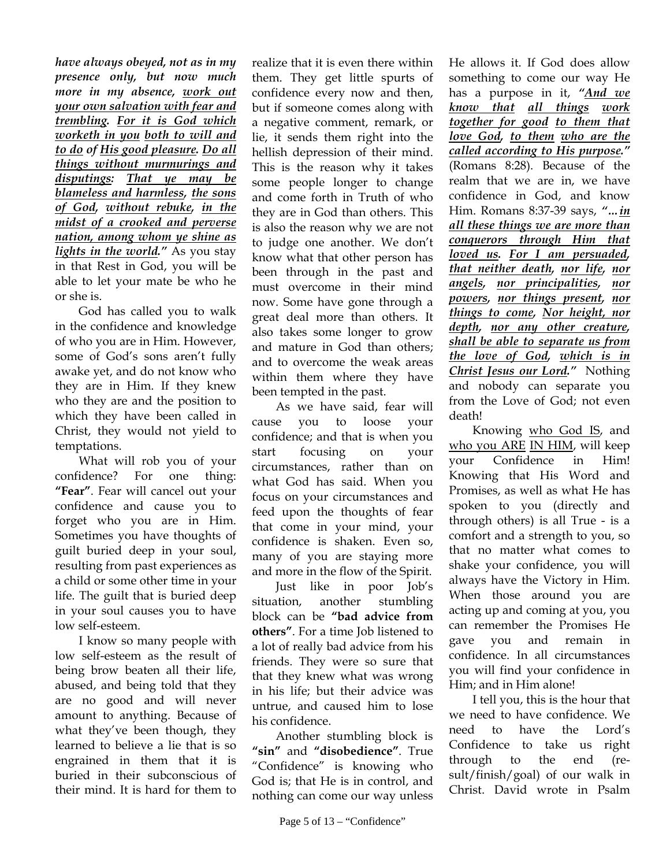*have always obeyed, not as in my presence only, but now much more in my absence, work out your own salvation with fear and trembling. For it is God which worketh in you both to will and to do of His good pleasure. Do all things without murmurings and disputings: That ye may be blameless and harmless, the sons of God, without rebuke, in the midst of a crooked and perverse nation, among whom ye shine as lights in the world."* As you stay in that Rest in God, you will be able to let your mate be who he or she is.

God has called you to walk in the confidence and knowledge of who you are in Him. However, some of God's sons aren't fully awake yet, and do not know who they are in Him. If they knew who they are and the position to which they have been called in Christ, they would not yield to temptations.

 What will rob you of your confidence? For one thing: **"Fear"**. Fear will cancel out your confidence and cause you to forget who you are in Him. Sometimes you have thoughts of guilt buried deep in your soul, resulting from past experiences as a child or some other time in your life. The guilt that is buried deep in your soul causes you to have low self-esteem.

 I know so many people with low self-esteem as the result of being brow beaten all their life, abused, and being told that they are no good and will never amount to anything. Because of what they've been though, they learned to believe a lie that is so engrained in them that it is buried in their subconscious of their mind. It is hard for them to

realize that it is even there within them. They get little spurts of confidence every now and then, but if someone comes along with a negative comment, remark, or lie, it sends them right into the hellish depression of their mind. This is the reason why it takes some people longer to change and come forth in Truth of who they are in God than others. This is also the reason why we are not to judge one another. We don't know what that other person has been through in the past and must overcome in their mind now. Some have gone through a great deal more than others. It also takes some longer to grow and mature in God than others; and to overcome the weak areas within them where they have been tempted in the past.

 As we have said, fear will cause you to loose your confidence; and that is when you start focusing on your circumstances, rather than on what God has said. When you focus on your circumstances and feed upon the thoughts of fear that come in your mind, your confidence is shaken. Even so, many of you are staying more and more in the flow of the Spirit.

 Just like in poor Job's situation, another stumbling block can be **"bad advice from others"**. For a time Job listened to a lot of really bad advice from his friends. They were so sure that that they knew what was wrong in his life; but their advice was untrue, and caused him to lose his confidence.

 Another stumbling block is **"sin"** and **"disobedience"**. True "Confidence" is knowing who God is; that He is in control, and nothing can come our way unless

He allows it. If God does allow something to come our way He has a purpose in it, *"And we know that all things work together for good to them that love God, to them who are the called according to His purpose."* (Romans 8:28). Because of the realm that we are in, we have confidence in God, and know Him. Romans 8:37-39 says, *"…in all these things we are more than conquerors through Him that loved us. For I am persuaded, that neither death, nor life, nor angels, nor principalities, nor powers, nor things present, nor things to come, Nor height, nor depth, nor any other creature, shall be able to separate us from the love of God, which is in Christ Jesus our Lord."* Nothing and nobody can separate you from the Love of God; not even death!

 Knowing who God IS, and who you ARE IN HIM, will keep your Confidence in Him! Knowing that His Word and Promises, as well as what He has spoken to you (directly and through others) is all True - is a comfort and a strength to you, so that no matter what comes to shake your confidence, you will always have the Victory in Him. When those around you are acting up and coming at you, you can remember the Promises He gave you and remain in confidence. In all circumstances you will find your confidence in Him; and in Him alone!

I tell you, this is the hour that we need to have confidence. We need to have the Lord's Confidence to take us right through to the end (result/finish/goal) of our walk in Christ. David wrote in Psalm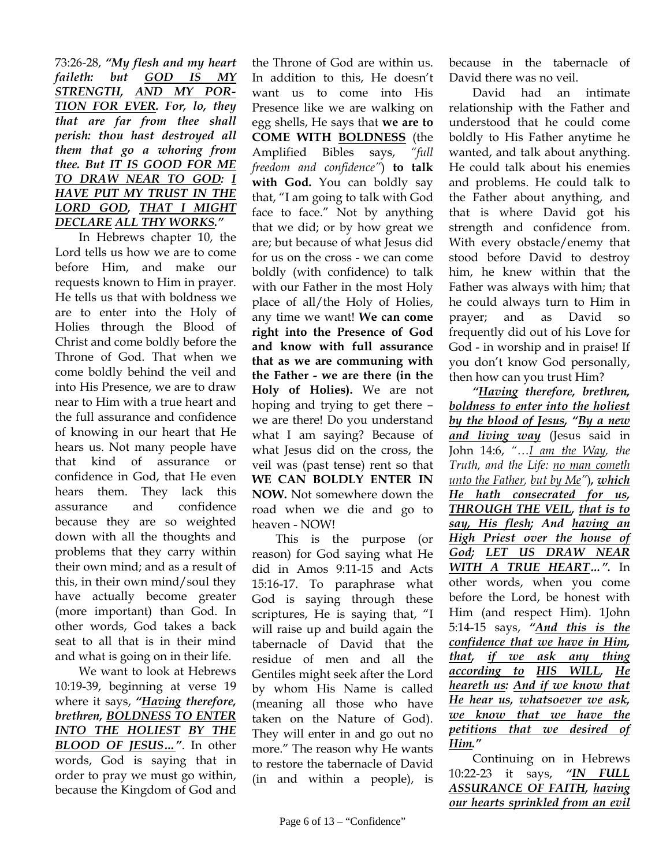## 73:26-28, *"My flesh and my heart faileth: but GOD IS MY STRENGTH, AND MY POR-TION FOR EVER. For, lo, they that are far from thee shall perish: thou hast destroyed all them that go a whoring from thee. But IT IS GOOD FOR ME TO DRAW NEAR TO GOD: I HAVE PUT MY TRUST IN THE LORD GOD, THAT I MIGHT DECLARE ALL THY WORKS."*

In Hebrews chapter 10, the Lord tells us how we are to come before Him, and make our requests known to Him in prayer. He tells us that with boldness we are to enter into the Holy of Holies through the Blood of Christ and come boldly before the Throne of God. That when we come boldly behind the veil and into His Presence, we are to draw near to Him with a true heart and the full assurance and confidence of knowing in our heart that He hears us. Not many people have that kind of assurance or confidence in God, that He even hears them. They lack this assurance and confidence because they are so weighted down with all the thoughts and problems that they carry within their own mind; and as a result of this, in their own mind/soul they have actually become greater (more important) than God. In other words, God takes a back seat to all that is in their mind and what is going on in their life.

We want to look at Hebrews 10:19-39, beginning at verse 19 where it says, *"Having therefore, brethren, BOLDNESS TO ENTER INTO THE HOLIEST BY THE BLOOD OF JESUS…"*. In other words, God is saying that in order to pray we must go within, because the Kingdom of God and

the Throne of God are within us. In addition to this, He doesn't want us to come into His Presence like we are walking on egg shells, He says that **we are to COME WITH BOLDNESS** (the Amplified Bibles says, *"full freedom and confidence"*) **to talk with God.** You can boldly say that, "I am going to talk with God face to face." Not by anything that we did; or by how great we are; but because of what Jesus did for us on the cross - we can come boldly (with confidence) to talk with our Father in the most Holy place of all/the Holy of Holies, any time we want! **We can come right into the Presence of God and know with full assurance that as we are communing with the Father - we are there (in the Holy of Holies).** We are not hoping and trying to get there – we are there! Do you understand what I am saying? Because of what Jesus did on the cross, the veil was (past tense) rent so that **WE CAN BOLDLY ENTER IN NOW.** Not somewhere down the road when we die and go to heaven - NOW!

This is the purpose (or reason) for God saying what He did in Amos 9:11-15 and Acts 15:16-17. To paraphrase what God is saying through these scriptures, He is saying that, "I will raise up and build again the tabernacle of David that the residue of men and all the Gentiles might seek after the Lord by whom His Name is called (meaning all those who have taken on the Nature of God). They will enter in and go out no more." The reason why He wants to restore the tabernacle of David (in and within a people), is because in the tabernacle of David there was no veil.

David had an intimate relationship with the Father and understood that he could come boldly to His Father anytime he wanted, and talk about anything. He could talk about his enemies and problems. He could talk to the Father about anything, and that is where David got his strength and confidence from. With every obstacle/enemy that stood before David to destroy him, he knew within that the Father was always with him; that he could always turn to Him in prayer; and as David so frequently did out of his Love for God - in worship and in praise! If you don't know God personally, then how can you trust Him?

*"Having therefore, brethren, boldness to enter into the holiest by the blood of Jesus, "By a new and living way* (Jesus said in John 14:6, *"…I am the Way, the Truth, and the Life: no man cometh unto the Father, but by Me"*)*, which He hath consecrated for us, THROUGH THE VEIL, that is to say, His flesh; And having an High Priest over the house of God; LET US DRAW NEAR WITH A TRUE HEART…".* In other words, when you come before the Lord, be honest with Him (and respect Him). 1John 5:14-15 says, *"And this is the confidence that we have in Him, that, if we ask any thing according to HIS WILL, He heareth us: And if we know that He hear us, whatsoever we ask, we know that we have the petitions that we desired of Him."* 

Continuing on in Hebrews 10:22-23 it says, *"IN FULL ASSURANCE OF FAITH, having our hearts sprinkled from an evil*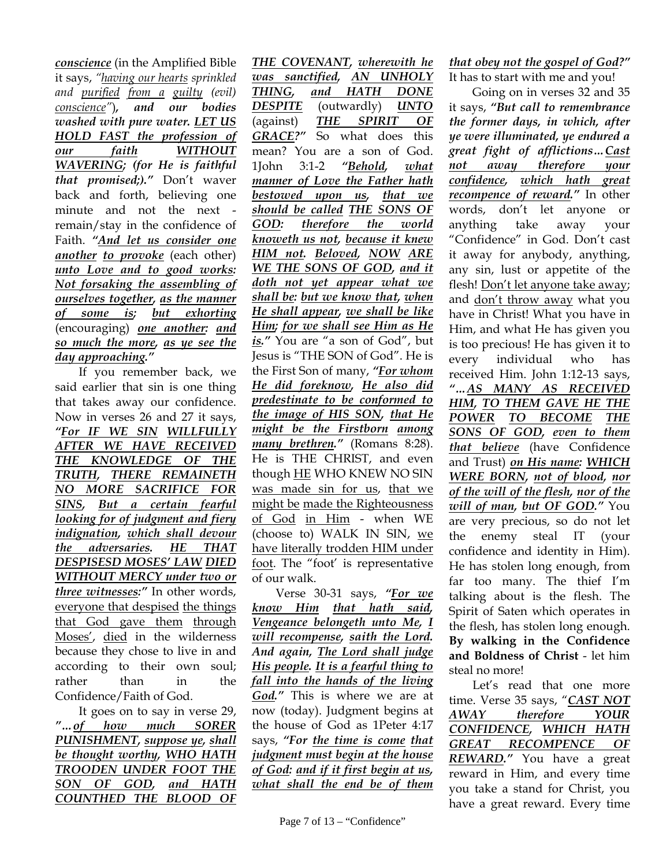*conscience* (in the Amplified Bible it says, *"having our hearts sprinkled and purified from a guilty (evil) conscience"*)*, and our bodies washed with pure water. LET US HOLD FAST the profession of our faith WITHOUT WAVERING; (for He is faithful that promised;)."* Don't waver back and forth, believing one minute and not the next remain/stay in the confidence of Faith. *"And let us consider one another to provoke* (each other) *unto Love and to good works: Not forsaking the assembling of ourselves together, as the manner of some is; but exhorting* (encouraging) *one another: and so much the more, as ye see the day approaching."*

If you remember back, we said earlier that sin is one thing that takes away our confidence. Now in verses 26 and 27 it says, *"For IF WE SIN WILLFULLY AFTER WE HAVE RECEIVED THE KNOWLEDGE OF THE TRUTH, THERE REMAINETH NO MORE SACRIFICE FOR SINS, But a certain fearful looking for of judgment and fiery indignation, which shall devour the adversaries. HE THAT DESPISESD MOSES' LAW DIED WITHOUT MERCY under two or three witnesses:"* In other words, everyone that despised the things that God gave them through Moses', died in the wilderness because they chose to live in and according to their own soul; rather than in the Confidence/Faith of God.

It goes on to say in verse 29, *"…of how much SORER PUNISHMENT, suppose ye, shall be thought worthy, WHO HATH TROODEN UNDER FOOT THE SON OF GOD, and HATH COUNTHED THE BLOOD OF* 

*THE COVENANT, wherewith he was sanctified, AN UNHOLY THING, and HATH DONE DESPITE* (outwardly) *UNTO*  (against) *THE SPIRIT OF GRACE?"* So what does this mean? You are a son of God. 1John 3:1-2 *"Behold, what manner of Love the Father hath bestowed upon us, that we should be called THE SONS OF GOD: therefore the world knoweth us not, because it knew HIM not. Beloved, NOW ARE WE THE SONS OF GOD, and it doth not yet appear what we shall be: but we know that, when He shall appear, we shall be like Him; for we shall see Him as He is."* You are "a son of God", but Jesus is "THE SON of God". He is the First Son of many, *"For whom He did foreknow, He also did predestinate to be conformed to the image of HIS SON, that He might be the Firstborn among many brethren."* (Romans 8:28). He is THE CHRIST, and even though HE WHO KNEW NO SIN was made sin for us, that we might be made the Righteousness of God in Him - when WE (choose to) WALK IN SIN, we have literally trodden HIM under foot. The "foot' is representative of our walk.

Verse 30-31 says, *"For we know Him that hath said, Vengeance belongeth unto Me, I will recompense, saith the Lord. And again, The Lord shall judge His people. It is a fearful thing to fall into the hands of the living God."* This is where we are at now (today). Judgment begins at the house of God as 1Peter 4:17 says, *"For the time is come that judgment must begin at the house of God: and if it first begin at us, what shall the end be of them* 

*that obey not the gospel of God?"*  It has to start with me and you!

Going on in verses 32 and 35 it says, *"But call to remembrance the former days, in which, after ye were illuminated, ye endured a great fight of afflictions…Cast not away therefore your confidence, which hath great recompence of reward."* In other words, don't let anyone or anything take away your "Confidence" in God. Don't cast it away for anybody, anything, any sin, lust or appetite of the flesh! Don't let anyone take away; and don't throw away what you have in Christ! What you have in Him, and what He has given you is too precious! He has given it to every individual who has received Him. John 1:12-13 says, *"…AS MANY AS RECEIVED HIM, TO THEM GAVE HE THE POWER TO BECOME THE SONS OF GOD, even to them that believe* (have Confidence and Trust) *on His name: WHICH WERE BORN, not of blood, nor of the will of the flesh, nor of the will of man, but OF GOD."* You are very precious, so do not let the enemy steal IT (your confidence and identity in Him). He has stolen long enough, from far too many. The thief I'm talking about is the flesh. The Spirit of Saten which operates in the flesh, has stolen long enough. **By walking in the Confidence and Boldness of Christ** - let him steal no more!

Let's read that one more time. Verse 35 says, "*CAST NOT AWAY therefore YOUR CONFIDENCE, WHICH HATH GREAT RECOMPENCE OF REWARD."* You have a great reward in Him, and every time you take a stand for Christ, you have a great reward. Every time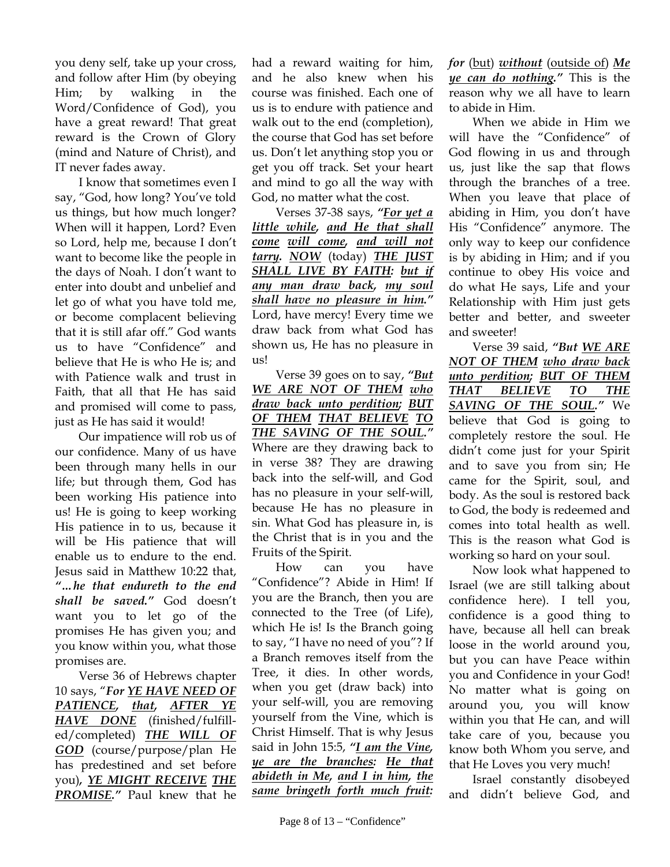you deny self, take up your cross, and follow after Him (by obeying Him; by walking in the Word/Confidence of God), you have a great reward! That great reward is the Crown of Glory (mind and Nature of Christ), and IT never fades away.

I know that sometimes even I say, "God, how long? You've told us things, but how much longer? When will it happen, Lord? Even so Lord, help me, because I don't want to become like the people in the days of Noah. I don't want to enter into doubt and unbelief and let go of what you have told me, or become complacent believing that it is still afar off." God wants us to have "Confidence" and believe that He is who He is; and with Patience walk and trust in Faith, that all that He has said and promised will come to pass, just as He has said it would!

Our impatience will rob us of our confidence. Many of us have been through many hells in our life; but through them, God has been working His patience into us! He is going to keep working His patience in to us, because it will be His patience that will enable us to endure to the end. Jesus said in Matthew 10:22 that, *"…he that endureth to the end shall be saved."* God doesn't want you to let go of the promises He has given you; and you know within you, what those promises are.

Verse 36 of Hebrews chapter 10 says, "*For YE HAVE NEED OF PATIENCE, that, AFTER YE HAVE DONE* (finished/fulfilled/completed) *THE WILL OF GOD* (course/purpose/plan He has predestined and set before you)*, YE MIGHT RECEIVE THE PROMISE."* Paul knew that he

had a reward waiting for him, and he also knew when his course was finished. Each one of us is to endure with patience and walk out to the end (completion), the course that God has set before us. Don't let anything stop you or get you off track. Set your heart and mind to go all the way with God, no matter what the cost.

Verses 37-38 says, *"For yet a little while, and He that shall come will come, and will not tarry. NOW* (today) *THE JUST SHALL LIVE BY FAITH: but if any man draw back, my soul shall have no pleasure in him."* Lord, have mercy! Every time we draw back from what God has shown us, He has no pleasure in us!

Verse 39 goes on to say, *"But WE ARE NOT OF THEM who draw back unto perdition; BUT OF THEM THAT BELIEVE TO THE SAVING OF THE SOUL."* 

Where are they drawing back to in verse 38? They are drawing back into the self-will, and God has no pleasure in your self-will, because He has no pleasure in sin. What God has pleasure in, is the Christ that is in you and the Fruits of the Spirit.

How can you have "Confidence"? Abide in Him! If you are the Branch, then you are connected to the Tree (of Life), which He is! Is the Branch going to say, "I have no need of you"? If a Branch removes itself from the Tree, it dies. In other words, when you get (draw back) into your self-will, you are removing yourself from the Vine, which is Christ Himself. That is why Jesus said in John 15:5, *"I am the Vine, ye are the branches: He that abideth in Me, and I in him, the same bringeth forth much fruit:* 

*for* (but) *without* (outside of) *Me ye can do nothing."* This is the reason why we all have to learn to abide in Him.

When we abide in Him we will have the "Confidence" of God flowing in us and through us, just like the sap that flows through the branches of a tree. When you leave that place of abiding in Him, you don't have His "Confidence" anymore. The only way to keep our confidence is by abiding in Him; and if you continue to obey His voice and do what He says, Life and your Relationship with Him just gets better and better, and sweeter and sweeter!

Verse 39 said, *"But WE ARE NOT OF THEM who draw back unto perdition; BUT OF THEM THAT BELIEVE TO THE SAVING OF THE SOUL."* We believe that God is going to completely restore the soul. He didn't come just for your Spirit and to save you from sin; He came for the Spirit, soul, and body. As the soul is restored back to God, the body is redeemed and comes into total health as well. This is the reason what God is working so hard on your soul.

Now look what happened to Israel (we are still talking about confidence here). I tell you, confidence is a good thing to have, because all hell can break loose in the world around you, but you can have Peace within you and Confidence in your God! No matter what is going on around you, you will know within you that He can, and will take care of you, because you know both Whom you serve, and that He Loves you very much!

Israel constantly disobeyed and didn't believe God, and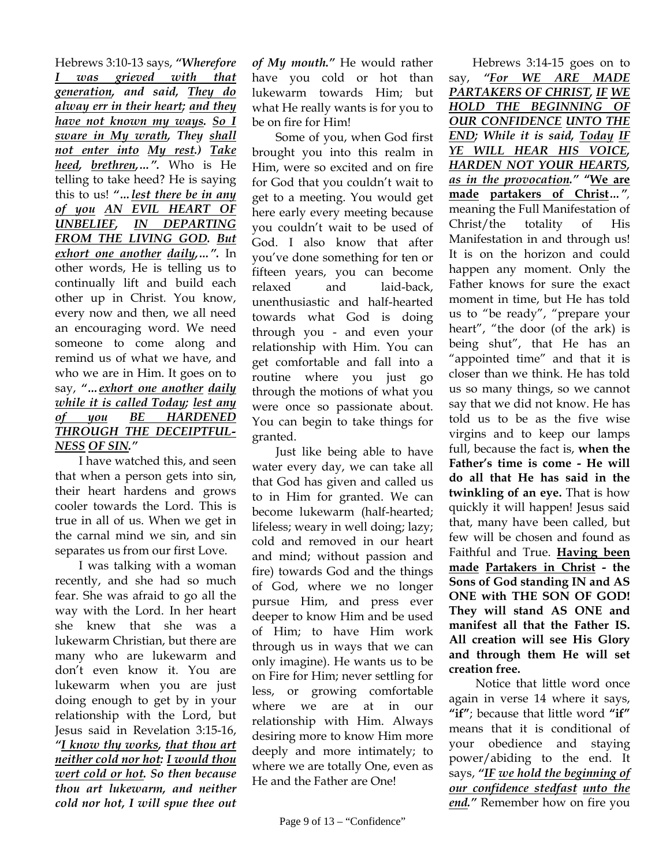Hebrews 3:10-13 says, *"Wherefore I was grieved with that generation, and said, They do alway err in their heart; and they have not known my ways. So I sware in My wrath, They shall not enter into My rest.) Take heed, brethren,…".* Who is He telling to take heed? He is saying this to us! *"…lest there be in any of you AN EVIL HEART OF UNBELIEF, IN DEPARTING FROM THE LIVING GOD. But exhort one another daily,…".* In other words, He is telling us to continually lift and build each other up in Christ. You know, every now and then, we all need an encouraging word. We need someone to come along and remind us of what we have, and who we are in Him. It goes on to say, *"…exhort one another daily while it is called Today; lest any of you BE HARDENED THROUGH THE DECEIPTFUL-NESS OF SIN."*

I have watched this, and seen that when a person gets into sin, their heart hardens and grows cooler towards the Lord. This is true in all of us. When we get in the carnal mind we sin, and sin separates us from our first Love.

I was talking with a woman recently, and she had so much fear. She was afraid to go all the way with the Lord. In her heart she knew that she was a lukewarm Christian, but there are many who are lukewarm and don't even know it. You are lukewarm when you are just doing enough to get by in your relationship with the Lord, but Jesus said in Revelation 3:15-16, *"I know thy works, that thou art neither cold nor hot: I would thou wert cold or hot. So then because thou art lukewarm, and neither cold nor hot, I will spue thee out* 

*of My mouth."* He would rather have you cold or hot than lukewarm towards Him; but what He really wants is for you to be on fire for Him!

Some of you, when God first brought you into this realm in Him, were so excited and on fire for God that you couldn't wait to get to a meeting. You would get here early every meeting because you couldn't wait to be used of God. I also know that after you've done something for ten or fifteen years, you can become relaxed and laid-back, unenthusiastic and half-hearted towards what God is doing through you - and even your relationship with Him. You can get comfortable and fall into a routine where you just go through the motions of what you were once so passionate about. You can begin to take things for granted.

Just like being able to have water every day, we can take all that God has given and called us to in Him for granted. We can become lukewarm (half-hearted; lifeless; weary in well doing; lazy; cold and removed in our heart and mind; without passion and fire) towards God and the things of God, where we no longer pursue Him, and press ever deeper to know Him and be used of Him; to have Him work through us in ways that we can only imagine). He wants us to be on Fire for Him; never settling for less, or growing comfortable where we are at in our relationship with Him. Always desiring more to know Him more deeply and more intimately; to where we are totally One, even as He and the Father are One!

Hebrews 3:14-15 goes on to say, *"For WE ARE MADE PARTAKERS OF CHRIST, IF WE HOLD THE BEGINNING OF OUR CONFIDENCE UNTO THE END; While it is said, Today IF YE WILL HEAR HIS VOICE, HARDEN NOT YOUR HEARTS, as in the provocation."* **"We are made partakers of Christ***…",*  meaning the Full Manifestation of Christ/the totality of His Manifestation in and through us! It is on the horizon and could happen any moment. Only the Father knows for sure the exact moment in time, but He has told us to "be ready", "prepare your heart", "the door (of the ark) is being shut", that He has an "appointed time" and that it is closer than we think. He has told us so many things, so we cannot say that we did not know. He has told us to be as the five wise virgins and to keep our lamps full, because the fact is, **when the Father's time is come - He will do all that He has said in the twinkling of an eye.** That is how quickly it will happen! Jesus said that, many have been called, but few will be chosen and found as Faithful and True. **Having been made Partakers in Christ - the Sons of God standing IN and AS ONE with THE SON OF GOD! They will stand AS ONE and manifest all that the Father IS. All creation will see His Glory and through them He will set creation free.**

 Notice that little word once again in verse 14 where it says, **"if"**; because that little word **"if"** means that it is conditional of your obedience and staying power/abiding to the end. It says, *"IF we hold the beginning of our confidence stedfast unto the end."* Remember how on fire you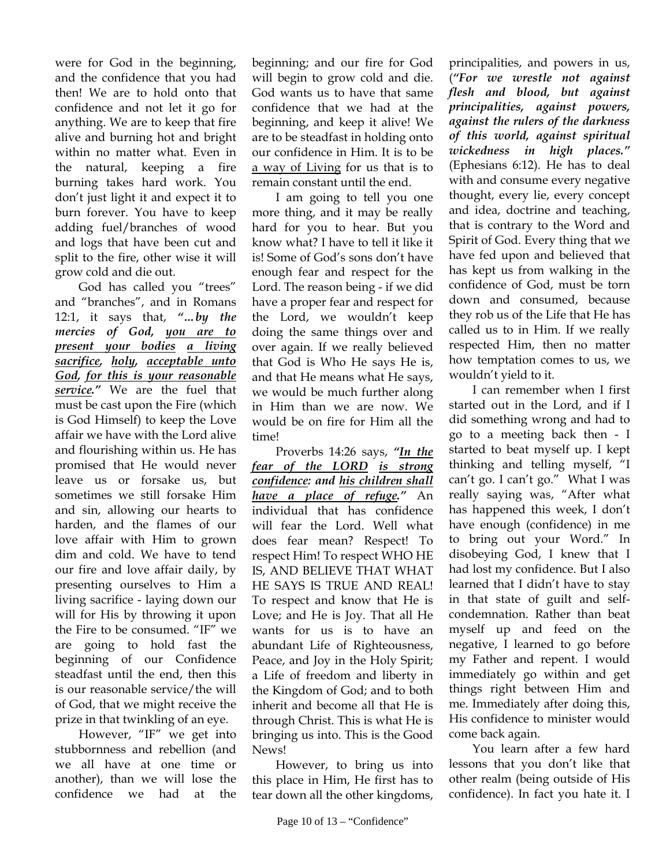were for God in the beginning, and the confidence that you had then! We are to hold onto that confidence and not let it go for anything. We are to keep that fire alive and burning hot and bright within no matter what. Even in the natural, keeping a fire burning takes hard work. You don't just light it and expect it to burn forever. You have to keep adding fuel/branches of wood and logs that have been cut and split to the fire, other wise it will grow cold and die out.

God has called you "trees" and "branches", and in Romans 12:1, it says that, *"…by the mercies of God, you are to present your bodies a living sacrifice, holy, acceptable unto God, for this is your reasonable service."* We are the fuel that must be cast upon the Fire (which is God Himself) to keep the Love affair we have with the Lord alive and flourishing within us. He has promised that He would never leave us or forsake us, but sometimes we still forsake Him and sin, allowing our hearts to harden, and the flames of our love affair with Him to grown dim and cold. We have to tend our fire and love affair daily, by presenting ourselves to Him a living sacrifice - laying down our will for His by throwing it upon the Fire to be consumed. "IF" we are going to hold fast the beginning of our Confidence steadfast until the end, then this is our reasonable service/the will of God, that we might receive the prize in that twinkling of an eye.

However, "IF" we get into stubbornness and rebellion (and we all have at one time or another), than we will lose the confidence we had at the

beginning; and our fire for God will begin to grow cold and die. God wants us to have that same confidence that we had at the beginning, and keep it alive! We are to be steadfast in holding onto our confidence in Him. It is to be a way of Living for us that is to remain constant until the end.

I am going to tell you one more thing, and it may be really hard for you to hear. But you know what? I have to tell it like it is! Some of God's sons don't have enough fear and respect for the Lord. The reason being - if we did have a proper fear and respect for the Lord, we wouldn't keep doing the same things over and over again. If we really believed that God is Who He says He is, and that He means what He says, we would be much further along in Him than we are now. We would be on fire for Him all the time!

Proverbs 14:26 says, *"In the fear of the LORD is strong confidence: and his children shall have a place of refuge."* An individual that has confidence will fear the Lord. Well what does fear mean? Respect! To respect Him! To respect WHO HE IS, AND BELIEVE THAT WHAT HE SAYS IS TRUE AND REAL! To respect and know that He is Love; and He is Joy. That all He wants for us is to have an abundant Life of Righteousness, Peace, and Joy in the Holy Spirit; a Life of freedom and liberty in the Kingdom of God; and to both inherit and become all that He is through Christ. This is what He is bringing us into. This is the Good News!

However, to bring us into this place in Him, He first has to tear down all the other kingdoms,

principalities, and powers in us, (*"For we wrestle not against flesh and blood, but against principalities, against powers, against the rulers of the darkness of this world, against spiritual wickedness in high places."*  (Ephesians 6:12). He has to deal with and consume every negative thought, every lie, every concept and idea, doctrine and teaching, that is contrary to the Word and Spirit of God. Every thing that we have fed upon and believed that has kept us from walking in the confidence of God, must be torn down and consumed, because they rob us of the Life that He has called us to in Him. If we really respected Him, then no matter how temptation comes to us, we wouldn't yield to it.

I can remember when I first started out in the Lord, and if I did something wrong and had to go to a meeting back then - I started to beat myself up. I kept thinking and telling myself, "I can't go. I can't go." What I was really saying was, "After what has happened this week, I don't have enough (confidence) in me to bring out your Word." In disobeying God, I knew that I had lost my confidence. But I also learned that I didn't have to stay in that state of guilt and selfcondemnation. Rather than beat myself up and feed on the negative, I learned to go before my Father and repent. I would immediately go within and get things right between Him and me. Immediately after doing this, His confidence to minister would come back again.

You learn after a few hard lessons that you don't like that other realm (being outside of His confidence). In fact you hate it. I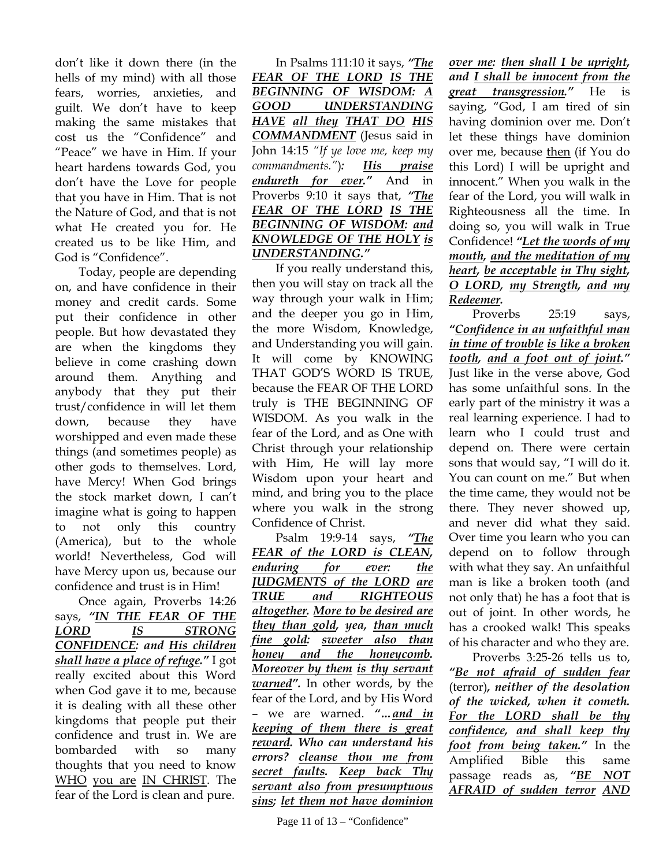don't like it down there (in the hells of my mind) with all those fears, worries, anxieties, and guilt. We don't have to keep making the same mistakes that cost us the "Confidence" and "Peace" we have in Him. If your heart hardens towards God, you don't have the Love for people that you have in Him. That is not the Nature of God, and that is not what He created you for. He created us to be like Him, and God is "Confidence".

Today, people are depending on, and have confidence in their money and credit cards. Some put their confidence in other people. But how devastated they are when the kingdoms they believe in come crashing down around them. Anything and anybody that they put their trust/confidence in will let them down, because they have worshipped and even made these things (and sometimes people) as other gods to themselves. Lord, have Mercy! When God brings the stock market down, I can't imagine what is going to happen to not only this country (America), but to the whole world! Nevertheless, God will have Mercy upon us, because our confidence and trust is in Him!

Once again, Proverbs 14:26 says, *"IN THE FEAR OF THE LORD IS STRONG CONFIDENCE: and His children shall have a place of refuge."* I got really excited about this Word when God gave it to me, because it is dealing with all these other kingdoms that people put their confidence and trust in. We are bombarded with so many thoughts that you need to know WHO you are IN CHRIST. The fear of the Lord is clean and pure.

In Psalms 111:10 it says, *"The FEAR OF THE LORD IS THE BEGINNING OF WISDOM: A GOOD UNDERSTANDING HAVE all they THAT DO HIS COMMANDMENT* (Jesus said in John 14:15 *"If ye love me, keep my commandments."*)*: His praise endureth for ever."* And in Proverbs 9:10 it says that, *"The FEAR OF THE LORD IS THE BEGINNING OF WISDOM: and KNOWLEDGE OF THE HOLY is UNDERSTANDING."*

If you really understand this, then you will stay on track all the way through your walk in Him; and the deeper you go in Him, the more Wisdom, Knowledge, and Understanding you will gain. It will come by KNOWING THAT GOD'S WORD IS TRUE, because the FEAR OF THE LORD truly is THE BEGINNING OF WISDOM. As you walk in the fear of the Lord, and as One with Christ through your relationship with Him, He will lay more Wisdom upon your heart and mind, and bring you to the place where you walk in the strong Confidence of Christ.

Psalm 19:9-14 says, *"The FEAR of the LORD is CLEAN, enduring for ever: the JUDGMENTS of the LORD are TRUE and RIGHTEOUS altogether. More to be desired are they than gold, yea, than much fine gold: sweeter also than honey and the honeycomb. Moreover by them is thy servant warned".* In other words, by the fear of the Lord, and by His Word – we are warned. *"…and in keeping of them there is great reward. Who can understand his errors? cleanse thou me from secret faults. Keep back Thy servant also from presumptuous sins; let them not have dominion* 

*over me: then shall I be upright, and I shall be innocent from the great transgression."* He is saying, "God, I am tired of sin having dominion over me. Don't let these things have dominion over me, because then (if You do this Lord) I will be upright and innocent." When you walk in the fear of the Lord, you will walk in Righteousness all the time. In doing so, you will walk in True Confidence! *"Let the words of my mouth, and the meditation of my heart, be acceptable in Thy sight, O LORD, my Strength, and my Redeemer.*

Proverbs 25:19 says, *"Confidence in an unfaithful man in time of trouble is like a broken tooth, and a foot out of joint."* Just like in the verse above, God has some unfaithful sons. In the early part of the ministry it was a real learning experience. I had to learn who I could trust and depend on. There were certain sons that would say, "I will do it. You can count on me." But when the time came, they would not be there. They never showed up, and never did what they said. Over time you learn who you can depend on to follow through with what they say. An unfaithful man is like a broken tooth (and not only that) he has a foot that is out of joint. In other words, he has a crooked walk! This speaks of his character and who they are.

Proverbs 3:25-26 tells us to, *"Be not afraid of sudden fear* (terror)*, neither of the desolation of the wicked, when it cometh. For the LORD shall be thy confidence, and shall keep thy foot from being taken."* In the Amplified Bible this same passage reads as, *"BE NOT AFRAID of sudden terror AND*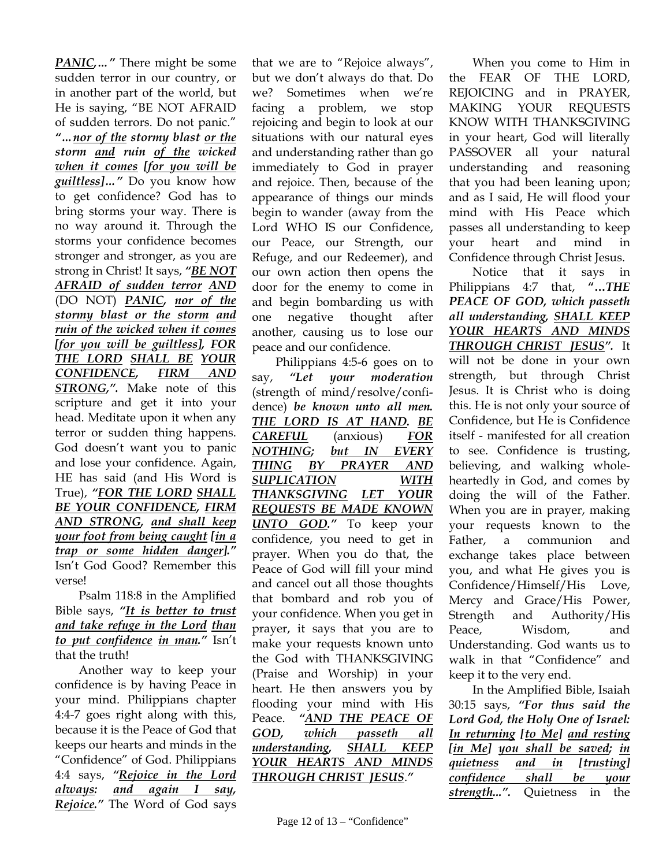*PANIC,…"* There might be some sudden terror in our country, or in another part of the world, but He is saying, "BE NOT AFRAID of sudden terrors. Do not panic." *"…nor of the stormy blast or the storm and ruin of the wicked when it comes [for you will be guiltless]…"* Do you know how to get confidence? God has to bring storms your way. There is no way around it. Through the storms your confidence becomes stronger and stronger, as you are strong in Christ! It says, *"BE NOT AFRAID of sudden terror AND* (DO NOT) *PANIC, nor of the stormy blast or the storm and ruin of the wicked when it comes [for you will be guiltless], FOR THE LORD SHALL BE YOUR CONFIDENCE, FIRM AND STRONG,".* Make note of this scripture and get it into your head. Meditate upon it when any terror or sudden thing happens. God doesn't want you to panic and lose your confidence. Again, HE has said (and His Word is True), *"FOR THE LORD SHALL BE YOUR CONFIDENCE, FIRM AND STRONG, and shall keep your foot from being caught [in a trap or some hidden danger]."* Isn't God Good? Remember this verse!

Psalm 118:8 in the Amplified Bible says, *"It is better to trust and take refuge in the Lord than to put confidence in man."* Isn't that the truth!

Another way to keep your confidence is by having Peace in your mind. Philippians chapter 4:4-7 goes right along with this, because it is the Peace of God that keeps our hearts and minds in the "Confidence" of God. Philippians 4:4 says, *"Rejoice in the Lord always: and again I say, Rejoice."* The Word of God says

that we are to "Rejoice always", but we don't always do that. Do we? Sometimes when we're facing a problem, we stop rejoicing and begin to look at our situations with our natural eyes and understanding rather than go immediately to God in prayer and rejoice. Then, because of the appearance of things our minds begin to wander (away from the Lord WHO IS our Confidence, our Peace, our Strength, our Refuge, and our Redeemer), and our own action then opens the door for the enemy to come in and begin bombarding us with one negative thought after another, causing us to lose our peace and our confidence.

Philippians 4:5-6 goes on to say, *"Let your moderation* (strength of mind/resolve/confidence) *be known unto all men. THE LORD IS AT HAND. BE CAREFUL* (anxious) *FOR NOTHING; but IN EVERY THING BY PRAYER AND SUPLICATION WITH THANKSGIVING LET YOUR REQUESTS BE MADE KNOWN UNTO GOD."* To keep your confidence, you need to get in prayer. When you do that, the Peace of God will fill your mind and cancel out all those thoughts that bombard and rob you of your confidence. When you get in prayer, it says that you are to make your requests known unto the God with THANKSGIVING (Praise and Worship) in your heart. He then answers you by flooding your mind with His Peace. *"AND THE PEACE OF GOD, which passeth all understanding, SHALL KEEP YOUR HEARTS AND MINDS THROUGH CHRIST JESUS*.*"* 

When you come to Him in the FEAR OF THE LORD, REJOICING and in PRAYER, MAKING YOUR REQUESTS KNOW WITH THANKSGIVING in your heart, God will literally PASSOVER all your natural understanding and reasoning that you had been leaning upon; and as I said, He will flood your mind with His Peace which passes all understanding to keep your heart and mind in Confidence through Christ Jesus.

Notice that it says in Philippians 4:7 that, **"…***THE PEACE OF GOD, which passeth all understanding, SHALL KEEP YOUR HEARTS AND MINDS THROUGH CHRIST JESUS".* It will not be done in your own strength, but through Christ Jesus. It is Christ who is doing this. He is not only your source of Confidence, but He is Confidence itself - manifested for all creation to see. Confidence is trusting, believing, and walking wholeheartedly in God, and comes by doing the will of the Father. When you are in prayer, making your requests known to the Father, a communion and exchange takes place between you, and what He gives you is Confidence/Himself/His Love, Mercy and Grace/His Power, Strength and Authority/His Peace, Wisdom, and Understanding. God wants us to walk in that "Confidence" and keep it to the very end.

In the Amplified Bible, Isaiah 30:15 says, *"For thus said the Lord God, the Holy One of Israel: In returning [to Me] and resting [in Me] you shall be saved; in quietness and in [trusting] confidence shall be your strength...".* Quietness in the